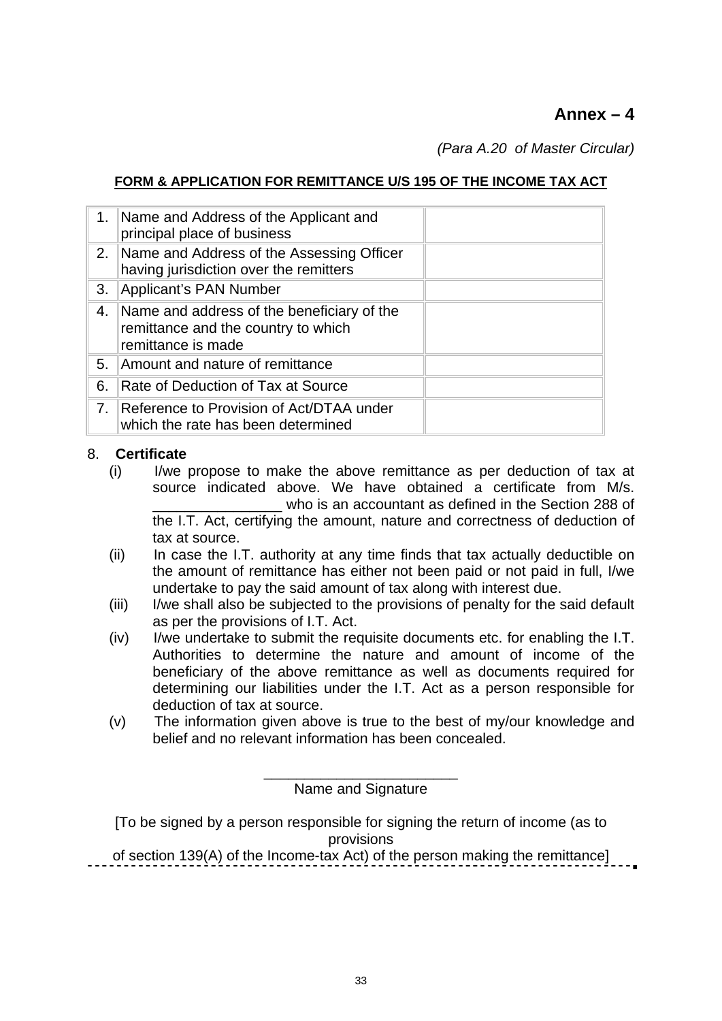# **Annex – 4**

*(Para A.20 of Master Circular)*

### **FORM & APPLICATION FOR REMITTANCE U/S 195 OF THE INCOME TAX ACT**

| 1 <sub>1</sub> | Name and Address of the Applicant and<br>principal place of business                                    |  |
|----------------|---------------------------------------------------------------------------------------------------------|--|
|                | 2. Name and Address of the Assessing Officer<br>having jurisdiction over the remitters                  |  |
| 3.             | Applicant's PAN Number                                                                                  |  |
| 4.             | Name and address of the beneficiary of the<br>remittance and the country to which<br>remittance is made |  |
|                | 5. Amount and nature of remittance                                                                      |  |
| 6.             | Rate of Deduction of Tax at Source                                                                      |  |
|                | 7. Reference to Provision of Act/DTAA under<br>which the rate has been determined                       |  |

#### 8. **Certificate**

- (i) I/we propose to make the above remittance as per deduction of tax at source indicated above. We have obtained a certificate from M/s. who is an accountant as defined in the Section 288 of the I.T. Act, certifying the amount, nature and correctness of deduction of tax at source.
- (ii) In case the I.T. authority at any time finds that tax actually deductible on the amount of remittance has either not been paid or not paid in full, I/we undertake to pay the said amount of tax along with interest due.
- (iii) I/we shall also be subjected to the provisions of penalty for the said default as per the provisions of I.T. Act.
- (iv) I/we undertake to submit the requisite documents etc. for enabling the I.T. Authorities to determine the nature and amount of income of the beneficiary of the above remittance as well as documents required for determining our liabilities under the I.T. Act as a person responsible for deduction of tax at source.
- (v) The information given above is true to the best of my/our knowledge and belief and no relevant information has been concealed.

\_\_\_\_\_\_\_\_\_\_\_\_\_\_\_\_\_\_\_\_\_\_\_\_ Name and Signature

[To be signed by a person responsible for signing the return of income (as to provisions

of section 139(A) of the Income-tax Act) of the person making the remittance]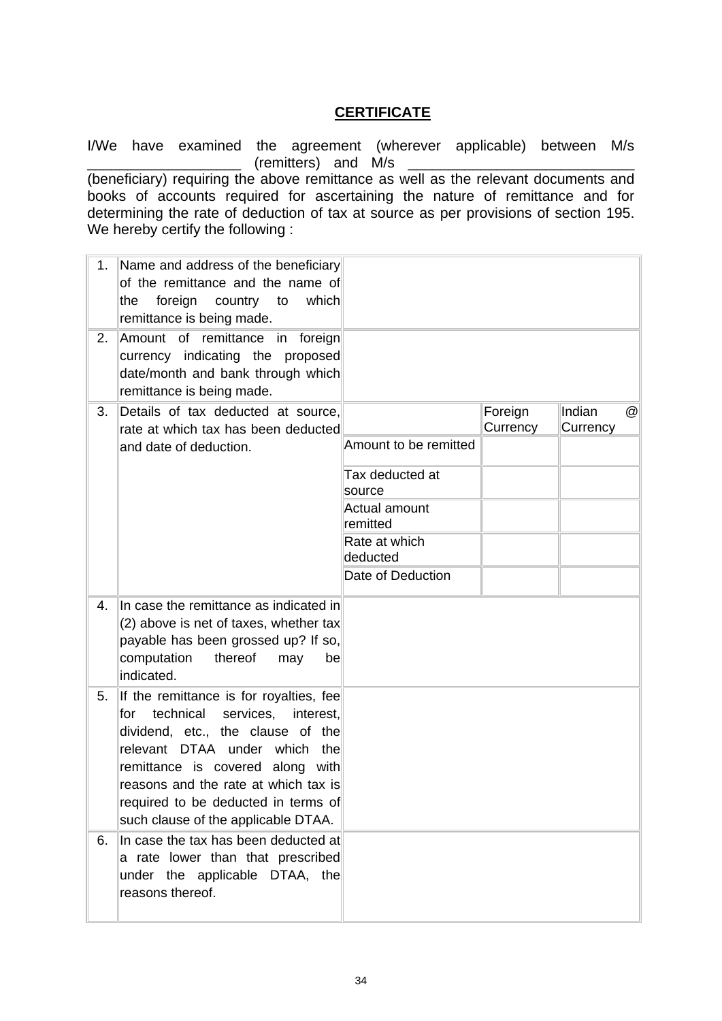# **CERTIFICATE**

I/We have examined the agreement (wherever applicable) between M/s  $($ remitters) and M/s

(beneficiary) requiring the above remittance as well as the relevant documents and books of accounts required for ascertaining the nature of remittance and for determining the rate of deduction of tax at source as per provisions of section 195. We hereby certify the following :

| 1. | Name and address of the beneficiary<br>of the remittance and the name of<br>foreign<br>which<br>the<br>country<br>to<br>remittance is being made.                                                                                                                                                                     |                                  |                     |                    |                      |
|----|-----------------------------------------------------------------------------------------------------------------------------------------------------------------------------------------------------------------------------------------------------------------------------------------------------------------------|----------------------------------|---------------------|--------------------|----------------------|
| 2. | Amount of remittance in foreign<br>currency indicating the proposed<br>date/month and bank through which<br>remittance is being made.                                                                                                                                                                                 |                                  |                     |                    |                      |
| 3. | Details of tax deducted at source,<br>rate at which tax has been deducted<br>and date of deduction.                                                                                                                                                                                                                   | Amount to be remitted            | Foreign<br>Currency | Indian<br>Currency | $^{\textregistered}$ |
|    |                                                                                                                                                                                                                                                                                                                       | Tax deducted at<br>source        |                     |                    |                      |
|    |                                                                                                                                                                                                                                                                                                                       | <b>Actual amount</b><br>remitted |                     |                    |                      |
|    |                                                                                                                                                                                                                                                                                                                       | Rate at which<br>deducted        |                     |                    |                      |
|    |                                                                                                                                                                                                                                                                                                                       | Date of Deduction                |                     |                    |                      |
| 4. | In case the remittance as indicated in<br>(2) above is net of taxes, whether tax<br>payable has been grossed up? If so,<br>computation<br>thereof<br>may<br>be<br>indicated.                                                                                                                                          |                                  |                     |                    |                      |
| 5. | If the remittance is for royalties, fee<br>for technical<br>services,<br>interest.<br>dividend, etc., the clause of the<br>relevant DTAA under which<br>the<br>remittance is covered along with<br>reasons and the rate at which tax is<br>required to be deducted in terms of<br>such clause of the applicable DTAA. |                                  |                     |                    |                      |
| 6. | In case the tax has been deducted at<br>a rate lower than that prescribed<br>under the applicable DTAA, the<br>reasons thereof.                                                                                                                                                                                       |                                  |                     |                    |                      |